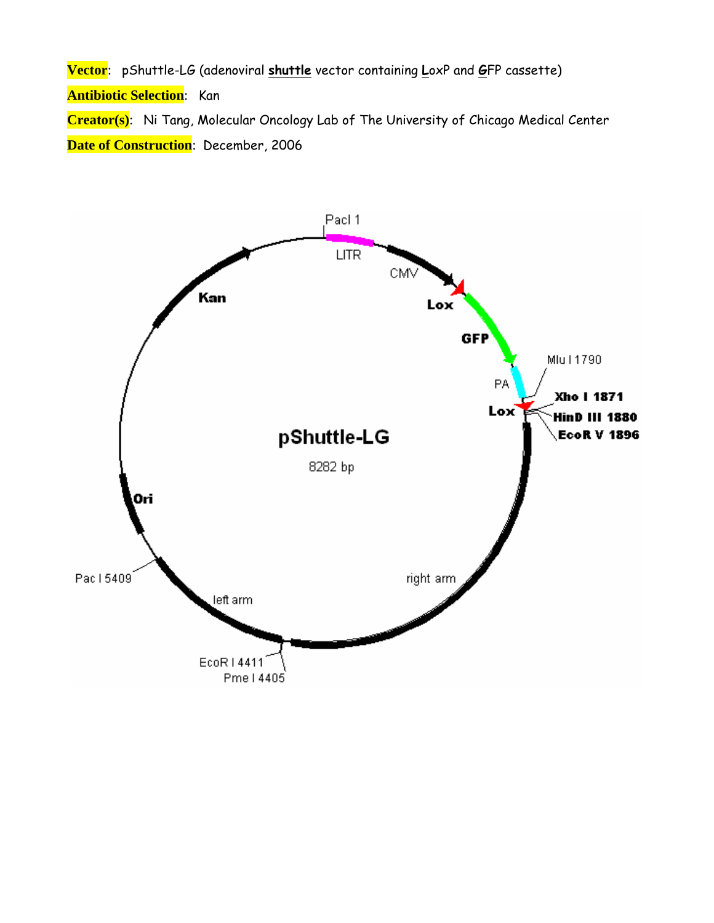**Vector**: pShuttle-LG (adenoviral **shuttle** vector containing **L**oxP and **G**FP cassette) **Antibiotic Selection**: Kan **Creator(s)**: Ni Tang, Molecular Oncology Lab of The University of Chicago Medical Center **Date of Construction**: December, 2006

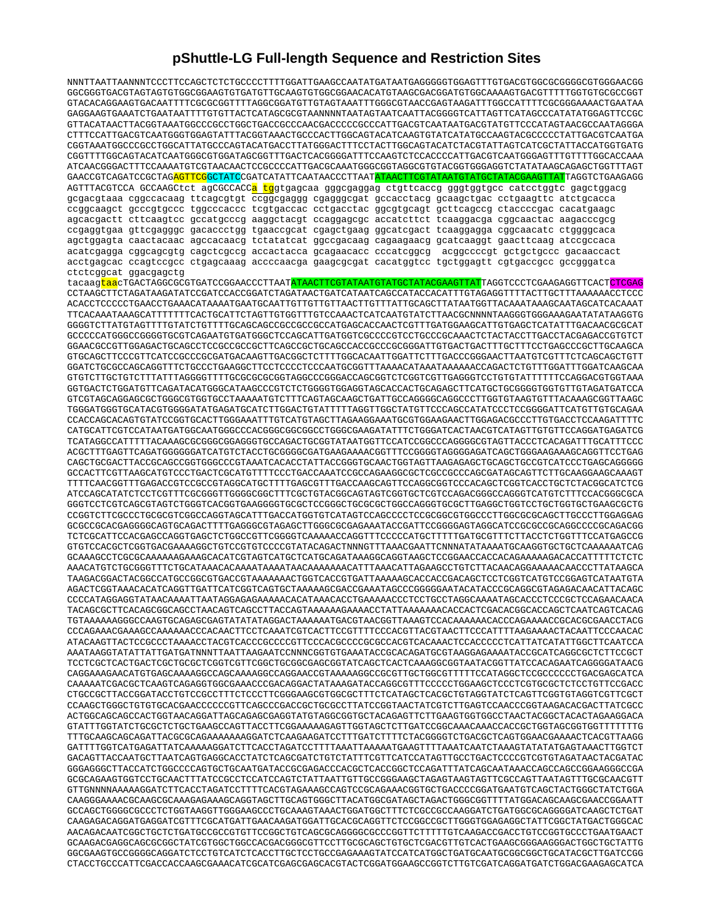## **pShuttle-LG Full-length Sequence and Restriction Sites**

| NNNTTAATTAANNNTCCCTTCCAGCTCTCCGCCCCTTTTGGATTGAAGCCAATATGATAATGAGGGGGTGGAGTTTGTGACGTGGCGCGGGGCGTGGGAACGG                                                                                                                                                        |
|----------------------------------------------------------------------------------------------------------------------------------------------------------------------------------------------------------------------------------------------------------------|
| GGCGGGTGACGTAGTAGTGTGGCGGAAGTGTGATGTTGCAAGTGTGGCGGAACACATGTAAGCGACGGATGTGGCAAAAGTGACGTTTTTGGTGTGCGCCGGT<br>GTACACAGGAAGTGACAATTTTCGCGCGGGTTTTAGGCGGATGTTGTAGTAAATTTGGGCGTAACCGAGTAAGATTTGGCCATTTTCGCGGGAAAACTGAATAA                                            |
| GAGGAAGTGAAATCTGAATAATTTTGTGTTACTCATAGCGCGTAANNNNTAATAGTAATCAATTACGGGGTCATTAGTTCATAGCCCATATATGGAGTTCCGC                                                                                                                                                        |
| GTTACATAACTTACGGTAAATGGCCCGCCTGGCTGACCGCCCAACGACCCCCGCCCATTGACGTCAATAATGACGTATGTTCCCATAGTAACGCCAATAGGGA                                                                                                                                                        |
| CTTTCCATTGACGTCAATGGGTGGAGTATTTACGGTAAACTGCCCACTTGGCAGTACATCAAGTGTATCATATGCCAAGTACGCCCCCTATTGACGTCAATGA<br>CGGTAAATGGCCCGCCTGGCATTATGCCCAGTACATGACCTTATGGGACTTTCCTACTTGGCAGTACATCTACGTATTAGTCATCGCTATTACCATGGTGATG                                             |
|                                                                                                                                                                                                                                                                |
| ATCAACGGGACTTTCCAAAATGTCGTAACAACTCCGCCCCATTGACGCAAATGGGCGGTAGGCGTGTACGGTGGGAGGTCTATATAAGCAGAGCTGGTTTAGT<br>GAACCGTCAGATCCGCTAG <mark>AGTTCG</mark> GCTATCCGATCATATTCAATAACCCTTAAT <mark>ATAACTTCGTATAATGTATGCTATACGAAGTTAT</mark> TAGGTCTGAAGAGG               |
| AGTTTACGTCCA GCCAAGCtct agCGCCACC <mark>a tg</mark> gtgagcaa gggcgaggag ctgttcaccg gggtggtgcc catcctggtc gagctggacg                                                                                                                                            |
| gcgacgtaaa cggccacaag ttcagcgtgt ccggcgaggg cgagggcgat gccacctacg gcaagctgac cctgaagttc atctgcacca                                                                                                                                                             |
| ccggcaaget geeegtgeee tggeeeaeee tegtgaeeae eetgaeetae ggegtgeagt getteageeg etaeeeegae eacatgaage<br>agcacgactt cttcaagtcc gccatgcccg aaggctacgt ccaggagcgc accatcttct tcaaggacga cggcaactac aagacccgcg                                                       |
| ccgaggtgaa gttcgagggc gacaccctgg tgaaccgcat cgagctgaag ggcatcgact tcaaggagga cggcaacatc ctggggcaca                                                                                                                                                             |
| agctggagta caactacaac agccacaacg tetatatcat ggccgacaag cagaagaacg gcatcaaggt gaacttcaag atccgccaca                                                                                                                                                             |
| acatcgagga cggcagcgtg cagctcgccg accactacca gcagaacacc cccatcggcg acggccccgt gctgctgccc gacaaccact                                                                                                                                                             |
| acctgagcac ccagtccgcc ctgagcaaag accccaacga gaagcgcgat cacatggtcc tgctggagtt cgtgaccgcc gccgggatca                                                                                                                                                             |
| ctctcggcat ggacgagctg                                                                                                                                                                                                                                          |
| tacaag <mark>taa</mark> cTGACTAGGCGCGTGATCCGGAACCCTTAAT <mark>ATAACTTCGTATAATGTATGCTATACGAAGTTAT</mark> TAGGTCCCTCGAAGAGGTTCACT <mark>CTCGAG</mark><br>CCTAAGCTTCTAGATAAGATATCCGATCCACCGGATCTAGATAACTGATCATAATCAGCCATACCACATTTGTAGAGGTTTTACTTGCTTTAAAAAACCTCCC |
| ACACCTCCCCCTGAACCTGAAACATAAAATGAATGCAATTGTTGTTGTTAACTTGTTATTGCAGCTTATAATGGTTACAAATAAAGCAATAGCATCACAAAT                                                                                                                                                         |
| TTCACAAATAAAGCATTTTTTTCACTGCATTCTAGTTGTGGTTTGTCCAAACTCATCAATGTATCTTAACGCNNNNTAAGGGTGGGAAAGAATATATAAGGTG                                                                                                                                                        |
| GGGGTCTTATGTAGTTTTGTATCTGTTTTGCAGCAGCCGCCGCCGCCATGAGCACCAACTCGTTTGATGGAAGCATTGTGAGCTCATATTTGACAACGCGCAT<br>GCCCCCATGGGCCGGGGTGCGTCAGAATGTGATGGGCTCCAGCATTGATGGTCGCCCCGTCCTGCCCGCAAACTCTACTACCTTGACCTACGAGACCGTGTCT                                             |
|                                                                                                                                                                                                                                                                |
| GTGCAGCTTCCCGTTCATCCGCCCGCGATGACAAGTTGACGGCTCTTTTGGCACAATTGGATTCTTTGACCCGGGAACTTAATGTCGTTTCTCAGCAGCTGTT                                                                                                                                                        |
| GTGTCTTGCTGTCTTTATTTAGGGGTTTTGCGCGCGCGGTAGGCCCGGGACCAGCGGTCTCGGTCGTTGAGGGTCCTGTGTATTTTTCCAGGACGTGGTAAA                                                                                                                                                         |
| GGTGACTCTGGATGTTCAGATACATGGGCATAAGCCCGTCTCTGGGGTGGAGGTAGCACCACTGCAGAGCTTCATGCTGCGGGGTGTTGTAGATGATCCA                                                                                                                                                           |
| GTCGTAGCAGGAGCGCTGGGCGTGGTGCCTAAAAATGTCTTTCAGTAGCAAGCTGATTGCCAGGGGCAGGCCCTTGGTGTAAGTGTTTACAAAGCGGTTAAGC                                                                                                                                                        |
| TGGGATGGGTGCATACGTGGGGATATGAGATGCATCTTGGACTGTATTTTTAGGTTGGCTATGTTCCCAGCCATATCCCTCCGGGGATTCATGTTGTGCAGAA                                                                                                                                                        |
| CCACCAGCACAGTGTATCCGGTGCACTTGGGAAATTTGTCATGTAGCTTAGAAGGAAATGCGTGGAAGAACTTGGAGACGCCCTTGTGACCTCCAAGATTTTC<br>CATGCATTCGTCCATAATGATGGCAATGGGCCCACGGGCGGCGGCCTGGGCGAAGATATTTCTGGGATCACTAACGTCATAGTTGTTCCAGGATGAGATCG                                               |
| TCATAGGCCATTTTTACAAAGCGCGGGGGGGGGGTGCCAGACTGCGGTATAATGGTTCCATCCGGCCCAGGGGCGTAGTTACCCTCACAGATTTGCATTTCCC                                                                                                                                                        |
| ACGCTTTGAGTTCAGATGGGGGGATCATGTCTACCTGCGGGGCGATGAAGAAAACGGTTTCCGGGGTAGGGGAGATCAGCTGGGAAGAAAGCAGGTTCCTGAG                                                                                                                                                        |
| CAGCTGCGACTTACCGCAGCCGGTGGGCCCGTAAATCACACCTATTACCGGGTGCAACTGGTAGTTAAGAGAGCTGCAGCTGCCGTCATCCCTGAGCAGGGGG                                                                                                                                                        |
| GCCACTTCGTTAAGCATGTCCCTGACTCGCATGTTTTCCCTGACCAAATCCGCCAGAAGGCGCTCGCCGCCCAGCGATAGCAGTTCTTGCAAGGAAGCAAAGT                                                                                                                                                        |
| TTTTCAACGGTTTGAGACCGTCCGCCGTAGGCATGCTTTTGAGCGTTTGACCAAGCAGTTCCAGGCGGTCCCACAGCTCGGTCACCTGCTCTACGGCATCTCG                                                                                                                                                        |
| ATCCAGCATATCTCCTCGTTTCGCGGGTTGGGGCGGCTTTCGCTGTACGGCAGTAGTCGGTGCTCCTCCAGACGGGCCAGGGTCATGTCTTTCCACGGGCGCA<br>GGGTCCTCGTCAGCGTAGTCTGGGTCACGGTGAAGGGGTGCGCTCCGGGCTGCGCGCTGGCCAGGGTGCGCTTGAGGCTGGTCCTGCTGGTGCTGAAGCGCTG                                             |
| CCGGTCTTCGCCCTGCGCGTCGGCCAGGTAGCATTTGACCATGGTGTCATAGTCCAGCCCCTCCGCGGCGTGGCCCTTGGCGCGAGCTTGCCCTTGGAGGAG                                                                                                                                                         |
| GCGCCGCACGAGGGGCAGTGCAGACTTTTGAGGGCGTAGAGCTTGGGCGCGAGAAATACCGATTCCGGGGAGTAGGCATCCGCGCCGCAGGCCCCGCAGACGG                                                                                                                                                        |
| TCTCGCATTCCACGAGCCAGGTGAGCTCTGGCCGTTCGGGGTCAAAAACCAGGTTTCCCCCATGCTTTTTGATGCGTTTCTTACCTCTGGTTTCCATGAGCCG                                                                                                                                                        |
| GTGTCCACGCTCGGTGACGAAAAGGCTGTCCGTGTCCCCGTATACAGACTNNNGTTTAAACGAATTCNNNATATAAAATGCAAGGTGCTGCTCAAAAAATCAG                                                                                                                                                        |
| GCAAAGCCTCGCGCAAAAAAGAAAGCACATCGTAGTCATGCTCATGCAGATAAAGGCAGGTAAGCTCCGGAACCACCACAGAAAAAGACACCATTTTTCTCTC                                                                                                                                                        |
| TAAGACGGACTACGGCCATGCCGGCGTGACCGTAAAAAAACTGGTCACCGTGATTAAAAAGCACCACCGACAGCTCCTCGGTCATGTCCGGAGTCATAATGTA                                                                                                                                                        |
| CCCCATAGGAGGTATAACAAAATTAATAGGAGAGAAAAACACATAAACACCTGAAAAACCCTCCTGCCTAGGCAAAATAGCACCCTCCCGCTCCAGAACAACA                                                                                                                                                        |
| TACAGCGCTTCACAGCGGCAGCCTAACAGTCAGCCTTACCAGTAAAAAAGAAAACCTATTAAAAAAACACCACTCGACACGGCACCAGCTCAATCAGTCACAG                                                                                                                                                        |
| TGTAAAAAAGGGCCAAGTGCAGAGCGAGTATATATAGGACTAAAAAATGACGTAACGGTTAAAGTCCACAAAAAACACCCAGAAAACCGCACGCGAACCTACG                                                                                                                                                        |
| CCCAGAAACGAAAAGCCAAAAAACCCACAACTTCCTCAAATCGTCACTTCCGTTTTCCCACGTTACGTAACTTCCCATTTTAAGAAAACTACAATTCCCAACAC                                                                                                                                                       |
| ATACAAGTTACTCCGCCCTAAAACCTACGTCACCCGCCCCGTTCCCACGCCCCGCGCCACGTCACAAACTCCACCCCCCTCATTATCATATTGGCTTCAATCCA                                                                                                                                                       |
| AAATAAGGTATATTATTGATGATNNNTTAATTAAGAATCCNNNCGGTGTGAAATACCGCACAGATGCGTAAGGAGAAAATACCGCATCAGGCGCTCTTCCGCT                                                                                                                                                        |
| CAGGAAAGAACATGTGAGCAAAAGGCCAGCAAAAGGCCAGGAACCGTAAAAAGGCCGCGTTGCTGGCGTTTTTCCATAGGCTCCGCCCCCCTGACGAGCATCA                                                                                                                                                        |
| CAAAAATCGACGCTCAAGTCAGAGGTGGCGAAACCCGACAGGACTATAAAGATACCAGGCGTTTCCCCCTGGAAGCTCCCTCGTGCGCTCTCCTGTTCCGACC                                                                                                                                                        |
| CTGCCGCTTACCGGATACCTGTCCGCCTTTCTCCCTTCGGGAAGCGTGGCGCTTTCTCATAGCTCACGCTGTAGGTATCTCAGTTCGGTGTAGGTCGTTCGCT                                                                                                                                                        |
| CCAAGCTGGGCTGTGTGCACGAACCCCCCGTTCAGCCCGACCGCTGCGCCTTATCCGGTAACTATCGTCTTGAGTCCAACCCGGTAAGACACGACTTATCGCC                                                                                                                                                        |
| ACTGGCAGCAGCACTGGTAACAGGATTAGCAGAGCGAGGTATGTAGGCGGTGCTACAGAGTTCTTGAAGTGGTGGCCTAACTACGGCTACACTAGAAGGACA                                                                                                                                                         |
| TTTGCAAGCAGCAGATTACGCGCAGAAAAAAGGATCTCAAGAAGATCCTTTGATCTTTTCTACGGGGTCTGACGCTCAGTGGAACGAAAACTCACGTTAAGG                                                                                                                                                         |
|                                                                                                                                                                                                                                                                |
| GACAGTTACCAATGCTTAATCAGTGAGGCACCTATCTCAGCGATCTGTCTATTTCGTTCATCCATAGTTGCCTGACTCCCCGTCGTGTAGATAACTACGATAC                                                                                                                                                        |
|                                                                                                                                                                                                                                                                |
|                                                                                                                                                                                                                                                                |
| GTTGNNNNAAAAAGGATCTTCACCTAGATCCTTTTCACGTAGAAAGCCAGTCCGCAGAAACGGTGCTGACCCCGGATGAATGTCAGCTACTGGGCTATCTGGA                                                                                                                                                        |
| CAAGGGAAAACGCAAGCGCAAAGAGAAAGCAGGTAGCTTGCAGTGGGCTTACATGGCGATAGCTAGACTGGGCGGTTTTATGGACAGCAAGCGAACCGGAATT<br>GCCAGCTGGGGCGCCCTCTGGTAAGGTTGGGAAGCCCTGCAAAGTAAACTGGATGGCTTTCTCGCCGCCAAGGATCTGATGGCGCAGGGGATCAAGCTCTGAT                                             |
| CAAGAGACAGGATGAGGATCGTTTCGCATGATTGAACAAGATGGATTGCACGCAGGTTCTCCGGCCGCTTGGGTGGAGAGGCTATTCGGCTATGACTGGGCAC                                                                                                                                                        |
|                                                                                                                                                                                                                                                                |
|                                                                                                                                                                                                                                                                |
| GCAAGACGAGGCAGCGCGCCTATCGTGGCTGGCCACGACGGCGTTCCTTGCGCAGCTGTGCTCGACGTTGTCACTGAAGCGGGAAGGGACTGGCTGCTATTG                                                                                                                                                         |
| GGCGAAGTGCCGGGGCAGGATCTCCTGTCATCTCACCTTGCTCCTGCCGAGAAAGTATCCATCATGGCTGATGCAATGCGGCGCTGCATACGCTTGATCCGG                                                                                                                                                         |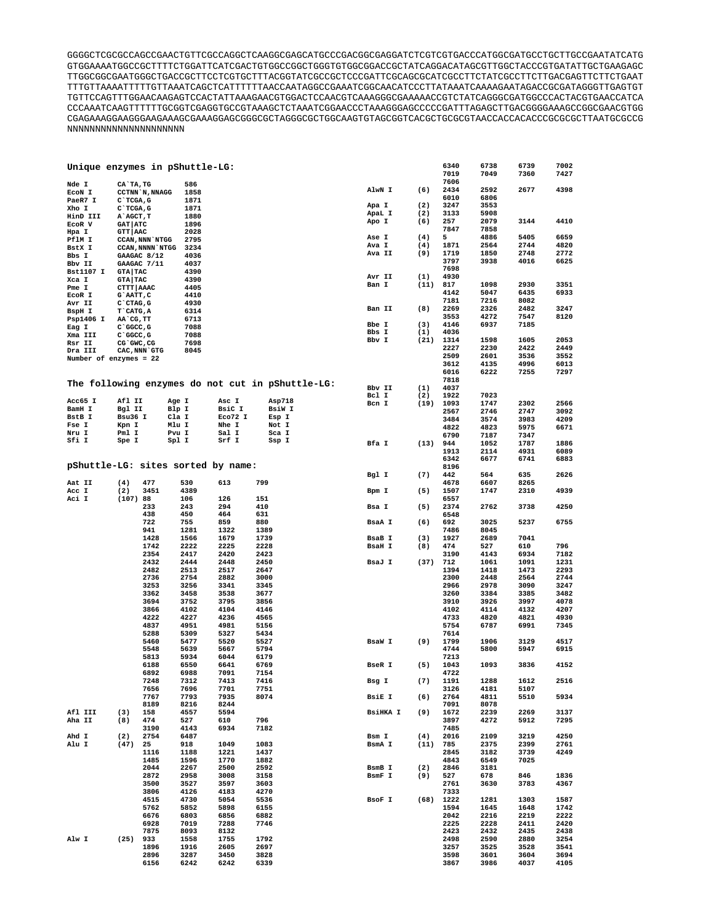GGGGCTCGCGCCAGCCGAACTGTTCGCCAGGCTCAAGGCGAGCATGCCCGACGGCGAGGATCTCGTCGTGACCCATGGCGATGCCTGCTTGCCGAATATCATG GTGGAAAATGGCCGCTTTTCTGGATTCATCGACTGTGGCCGGCTGGGTGTGGCGGACCGCTATCAGGACATAGCGTTGGCTACCCGTGATATTGCTGAAGAGC TTGGCGGCGAATGGGCTGACCGCTTCCTCGTGCTTTACGGTATCGCCGCTCCCGATTCGCAGCGCATCGCCTTCTATCGCCTTCTTGACGAGTTCTTCTGAAT TTTGTTAAAATTTTTGTTAAATCAGCTCATTTTTTAACCAATAGGCCGAAATCGGCAACATCCCTTATAAATCAAAAGAATAGACCGCGATAGGGTTGAGTGT TGTTCCAGTTTGGAACAAGAGTCCACTATTAAAGAACGTGGACTCCAACGTCAAAGGGCGAAAAACCGTCTATCAGGGCGATGGCCCACTACGTGAACCATCA CCCAAATCAAGTTTTTTGCGGTCGAGGTGCCGTAAAGCTCTAAATCGGAACCCTAAAGGGAGCCCCCGATTTAGAGCTTGACGGGGAAAGCCGGCGAACGTGG CGAGAAAGGAAGGGAAGAAAGCGAAAGGAGCGGGCGCTAGGGCGCTGGCAAGTGTAGCGGTCACGCTGCGCGTAACCACCACACCCGCGCGCTTAATGCGCCG NNNNNNNNNNNNNNNNNNNNN

| Unique enzymes in pShuttle-LG:     |                  |                        |             |         |      |                                                  |                 |             | 6340<br>7019 | 6738<br>7049 | 6739<br>7360 | 7002<br>7427 |
|------------------------------------|------------------|------------------------|-------------|---------|------|--------------------------------------------------|-----------------|-------------|--------------|--------------|--------------|--------------|
| Nde I<br>ECON I                    | CA`TA, TG        | CCTNN N, NNAGG         | 586<br>1858 |         |      |                                                  | AlwN I          | (6)         | 7606<br>2434 | 2592         | 2677         | 4398         |
| PaeR7 I                            | C`TCGA, G        |                        | 1871        |         |      |                                                  |                 |             | 6010         | 6806         |              |              |
| Xho I                              | $C$ TCGA, G      |                        | 1871        |         |      |                                                  | Apa I           | (2)         | 3247         | 3553         |              |              |
| HinD III                           | A AGCT, T        |                        | 1880        |         |      |                                                  | ApaL I          | (2)         | 3133         | 5908         |              |              |
| ECOR V                             | <b>GAT   ATC</b> |                        | 1896        |         |      |                                                  | Apo I           | (6)         | 257          | 2079         | 3144         | 4410         |
| Hpa I                              | <b>GTT   AAC</b> |                        | 2028        |         |      |                                                  |                 |             | 7847         | 7858         |              |              |
|                                    |                  |                        |             |         |      |                                                  | Ase I           | (4)         | 5            | 4886         | 5405         | 6659         |
| PflM I                             |                  | <b>CCAN, NNN NTGG</b>  | 2795        |         |      |                                                  | Ava I           | (4)         | 1871         | 2564         | 2744         | 4820         |
| BstX I                             |                  | <b>CCAN, NNNN NTGG</b> | 3234        |         |      |                                                  |                 |             |              |              |              |              |
| Bbs I                              | GAAGAC 8/12      |                        | 4036        |         |      |                                                  | Ava II          | (9)         | 1719         | 1850         | 2748         | 2772         |
| Bbv II                             | GAAGAC 7/11      |                        | 4037        |         |      |                                                  |                 |             | 3797         | 3938         | 4016         | 6625         |
| <b>Bst1107 I</b>                   | <b>GTA TAC</b>   |                        | 4390        |         |      |                                                  |                 |             | 7698         |              |              |              |
| Xca I                              | <b>GTA TAC</b>   |                        | 4390        |         |      |                                                  | Avr II          | (1)         | 4930         |              |              |              |
|                                    |                  |                        |             |         |      |                                                  | Ban I           | (11)        | 817          | 1098         | 2930         | 3351         |
| Pme I                              | CTTT AAAC        |                        | 4405        |         |      |                                                  |                 |             | 4142         | 5047         | 6435         | 6933         |
| ECOR I                             | G`AATT, C        |                        | 4410        |         |      |                                                  |                 |             | 7181         | 7216         | 8082         |              |
| Avr II                             | $C$ $CTAG$ , $G$ |                        | 4930        |         |      |                                                  |                 |             |              |              |              |              |
| BspH I                             | T CATG, A        |                        | 6314        |         |      |                                                  | Ban II          | (8)         | 2269         | 2326         | 2482         | 3247         |
| Psp1406 I                          | AA`CG, TT        |                        | 6713        |         |      |                                                  |                 |             | 3553         | 4272         | 7547         | 8120         |
| Eag I                              | C`GGCC, G        |                        | 7088        |         |      |                                                  | Bbe I           | (3)         | 4146         | 6937         | 7185         |              |
|                                    |                  |                        |             |         |      |                                                  | Bbs I           | (1)         | 4036         |              |              |              |
| Xma III                            | C`GGCC, G        |                        | 7088        |         |      |                                                  | Bbv I           | (21)        | 1314         | 1598         | 1605         | 2053         |
| Rsr II                             | CG GWC, CG       |                        | 7698        |         |      |                                                  |                 |             | 2227         | 2230         | 2422         | 2449         |
| Dra III                            | CAC, NNN GTG     |                        | 8045        |         |      |                                                  |                 |             |              |              |              |              |
| Number of enzymes = 22             |                  |                        |             |         |      |                                                  |                 |             | 2509         | 2601         | 3536         | 3552         |
|                                    |                  |                        |             |         |      |                                                  |                 |             | 3612         | 4135         | 4996         | 6013         |
|                                    |                  |                        |             |         |      |                                                  |                 |             | 6016         | 6222         | 7255         | 7297         |
|                                    |                  |                        |             |         |      |                                                  |                 |             | 7818         |              |              |              |
|                                    |                  |                        |             |         |      | The following enzymes do not cut in pShuttle-LG: | Bbv II          | (1)         | 4037         |              |              |              |
|                                    |                  |                        |             |         |      |                                                  | Bcl I           | (2)         | 1922         | 7023         |              |              |
| Acc65 I                            | Afl II           | Age I                  |             | Asc I   |      | Asp718                                           |                 |             |              |              |              | 2566         |
| BamH I                             | Bgl II           | Blp I                  |             | BsiC I  |      | BsiW I                                           | Bcn I           | (19)        | 1093         | 1747         | 2302         |              |
|                                    |                  |                        |             |         |      |                                                  |                 |             | 2567         | 2746         | 2747         | 3092         |
| <b>BstB</b> I                      | Bsu36 I          | Cla I                  |             | Eco72 I |      | Esp I                                            |                 |             | 3484         | 3574         | 3983         | 4209         |
| Fse I                              | Kpn I            | Mlu I                  |             | Nhe I   |      | Not I                                            |                 |             | 4822         | 4823         | 5975         | 6671         |
| Nru I                              | Pml I            | Pvu I                  |             | Sal I   |      | Sca I                                            |                 |             | 6790         | 7187         | 7347         |              |
| Sfi I                              | Spe I            | Spl I                  |             | Srf I   |      | Ssp I                                            | Bfa I           | (13)        | 944          | 1052         | 1787         | 1886         |
|                                    |                  |                        |             |         |      |                                                  |                 |             |              |              |              |              |
|                                    |                  |                        |             |         |      |                                                  |                 |             | 1913         | 2114         | 4931         | 6089         |
|                                    |                  |                        |             |         |      |                                                  |                 |             | 6342         | 6677         | 6741         | 6883         |
| pShuttle-LG: sites sorted by name: |                  |                        |             |         |      |                                                  |                 |             | 8196         |              |              |              |
|                                    |                  |                        |             |         |      |                                                  | Bgl I           | (7)         | 442          | 564          | 635          | 2626         |
| Aat II                             | (4)              | 477                    | 530         | 613     | 799  |                                                  |                 |             | 4678         | 6607         | 8265         |              |
| Acc I                              | (2)              | 3451                   | 4389        |         |      |                                                  | Bpm I           | (5)         | 1507         | 1747         | 2310         | 4939         |
|                                    |                  |                        |             |         |      |                                                  |                 |             |              |              |              |              |
| Aci I                              | (107)88          |                        | 106         | 126     | 151  |                                                  |                 |             | 6557         |              |              |              |
|                                    |                  | 233                    | 243         | 294     | 410  |                                                  | Bsa I           | (5)         | 2374         | 2762         | 3738         | 4250         |
|                                    |                  | 438                    | 450         | 464     | 631  |                                                  |                 |             | 6548         |              |              |              |
|                                    |                  | 722                    | 755         | 859     | 880  |                                                  | BsaA I          | (6)         | 692          | 3025         | 5237         | 6755         |
|                                    |                  | 941                    | 1281        | 1322    | 1389 |                                                  |                 |             | 7486         | 8045         |              |              |
|                                    |                  | 1428                   | 1566        | 1679    | 1739 |                                                  | BsaB I          | (3)         | 1927         | 2689         | 7041         |              |
|                                    |                  |                        |             |         |      |                                                  |                 |             |              |              |              | 796          |
|                                    |                  | 1742                   | 2222        | 2225    | 2228 |                                                  | <b>BsaH I</b>   | (8)         | 474          | 527          | 610          |              |
|                                    |                  | 2354                   | 2417        | 2420    | 2423 |                                                  |                 |             | 3190         | 4143         | 6934         | 7182         |
|                                    |                  | 2432                   | 2444        | 2448    | 2450 |                                                  | BsaJ I          | (37)        | 712          | 1061         | 1091         | 1231         |
|                                    |                  | 2482                   | 2513        | 2517    | 2647 |                                                  |                 |             | 1394         | 1418         | 1473         | 2293         |
|                                    |                  | 2736                   | 2754        | 2882    | 3000 |                                                  |                 |             | 2300         | 2448         | 2564         | 2744         |
|                                    |                  | 3253                   | 3256        | 3341    | 3345 |                                                  |                 |             | 2966         | 2978         | 3090         | 3247         |
|                                    |                  | 3362                   | 3458        | 3538    | 3677 |                                                  |                 |             | 3260         | 3384         | 3385         | 3482         |
|                                    |                  |                        |             |         |      |                                                  |                 |             |              |              |              |              |
|                                    |                  | 3694                   | 3752        | 3795    | 3856 |                                                  |                 |             | 3910         | 3926         | 3997         | 4078         |
|                                    |                  | 3866                   | 4102        | 4104    | 4146 |                                                  |                 |             | 4102         | 4114         | 4132         | 4207         |
|                                    |                  | 4222                   | 4227        | 4236    | 4565 |                                                  |                 |             | 4733         | 4820         | 4821         | 4930         |
|                                    |                  | 4837                   | 4951        | 4981    | 5156 |                                                  |                 |             | 5754         | 6787         | 6991         | 7345         |
|                                    |                  | 5288                   | 5309        | 5327    | 5434 |                                                  |                 |             | 7614         |              |              |              |
|                                    |                  | 5460                   | 5477        | 5520    | 5527 |                                                  | BsaW I          | (9)         | 1799         | 1906         | 3129         | 4517         |
|                                    |                  | 5548                   | 5639        | 5667    | 5794 |                                                  |                 |             | 4744         | 5800         | 5947         | 6915         |
|                                    |                  |                        |             |         |      |                                                  |                 |             |              |              |              |              |
|                                    |                  | 5813                   | 5934        | 6044    | 6179 |                                                  |                 |             | 7213         |              |              |              |
|                                    |                  | 6188                   | 6550        | 6641    | 6769 |                                                  | BseR I          | (5)         | 1043         | 1093         | 3836         | 4152         |
|                                    |                  | 6892                   | 6988        | 7091    | 7154 |                                                  |                 |             | 4722         |              |              |              |
|                                    |                  | 7248                   | 7312        | 7413    | 7416 |                                                  | Bsg I           | (7)         | 1191         | 1288         | 1612         | 2516         |
|                                    |                  | 7656                   | 7696        | 7701    | 7751 |                                                  |                 |             | 3126         | 4181         | 5107         |              |
|                                    |                  | 7767                   | 7793        | 7935    | 8074 |                                                  | BsiE I          | (6)         | 2764         | 4811         | 5510         | 5934         |
|                                    |                  | 8189                   | 8216        | 8244    |      |                                                  |                 |             | 7091         | 8078         |              |              |
|                                    |                  |                        |             |         |      |                                                  |                 |             |              |              |              |              |
| Afl III                            | (3)              | 158                    | 4557        | 5594    |      |                                                  | <b>BSiHKA I</b> | (9)         | 1672         | 2239         | 2269         | 3137         |
| Aha II                             | (8)              | 474                    | 527         | 610     | 796  |                                                  |                 |             | 3897         | 4272         | 5912         | 7295         |
|                                    |                  | 3190                   | 4143        | 6934    | 7182 |                                                  |                 |             | 7485         |              |              |              |
| Ahd I                              | (2)              | 2754                   | 6487        |         |      |                                                  | Bsm I           | (4)         | 2016         | 2109         | 3219         | 4250         |
| Alu I                              | (47)             | 25                     | 918         | 1049    | 1083 |                                                  | BsmA I          | $(11)$ 785  |              | 2375         | 2399         | 2761         |
|                                    |                  | 1116                   | 1188        | 1221    | 1437 |                                                  |                 |             | 2845         | 3182         | 3739         | 4249         |
|                                    |                  |                        |             |         |      |                                                  |                 |             |              |              |              |              |
|                                    |                  | 1485                   | 1596        | 1770    | 1882 |                                                  |                 |             | 4843         | 6549         | 7025         |              |
|                                    |                  | 2044                   | 2267        | 2500    | 2592 |                                                  | BsmB I          | (2)         | 2846         | 3181         |              |              |
|                                    |                  | 2872                   | 2958        | 3008    | 3158 |                                                  | BsmF I          | (9)         | 527          | 678          | 846          | 1836         |
|                                    |                  | 3500                   | 3527        | 3597    | 3603 |                                                  |                 |             | 2761         | 3630         | 3783         | 4367         |
|                                    |                  | 3806                   | 4126        | 4183    | 4270 |                                                  |                 |             | 7333         |              |              |              |
|                                    |                  | 4515                   | 4730        | 5054    | 5536 |                                                  | BsoF I          | $(68)$ 1222 |              | 1281         | 1303         | 1587         |
|                                    |                  |                        |             |         |      |                                                  |                 |             |              |              |              |              |
|                                    |                  | 5762                   | 5852        | 5898    | 6155 |                                                  |                 |             | 1594         | 1645         | 1648         | 1742         |
|                                    |                  | 6676                   | 6803        | 6856    | 6882 |                                                  |                 |             | 2042         | 2216         | 2219         | 2222         |
|                                    |                  | 6928                   | 7019        | 7288    | 7746 |                                                  |                 |             | 2225         | 2228         | 2411         | 2420         |
|                                    |                  | 7875                   | 8093        | 8132    |      |                                                  |                 |             | 2423         | 2432         | 2435         | 2438         |
| Alw I                              | $(25)$ 933       |                        | 1558        | 1755    | 1792 |                                                  |                 |             | 2498         | 2590         | 2880         | 3254         |
|                                    |                  | 1896                   | 1916        | 2605    | 2697 |                                                  |                 |             | 3257         | 3525         | 3528         | 3541         |
|                                    |                  | 2896                   | 3287        | 3450    | 3828 |                                                  |                 |             | 3598         | 3601         | 3604         | 3694         |
|                                    |                  |                        |             |         |      |                                                  |                 |             |              |              |              |              |
|                                    |                  | 6156                   | 6242        | 6242    | 6339 |                                                  |                 |             | 3867         | 3986         | 4037         | 4105         |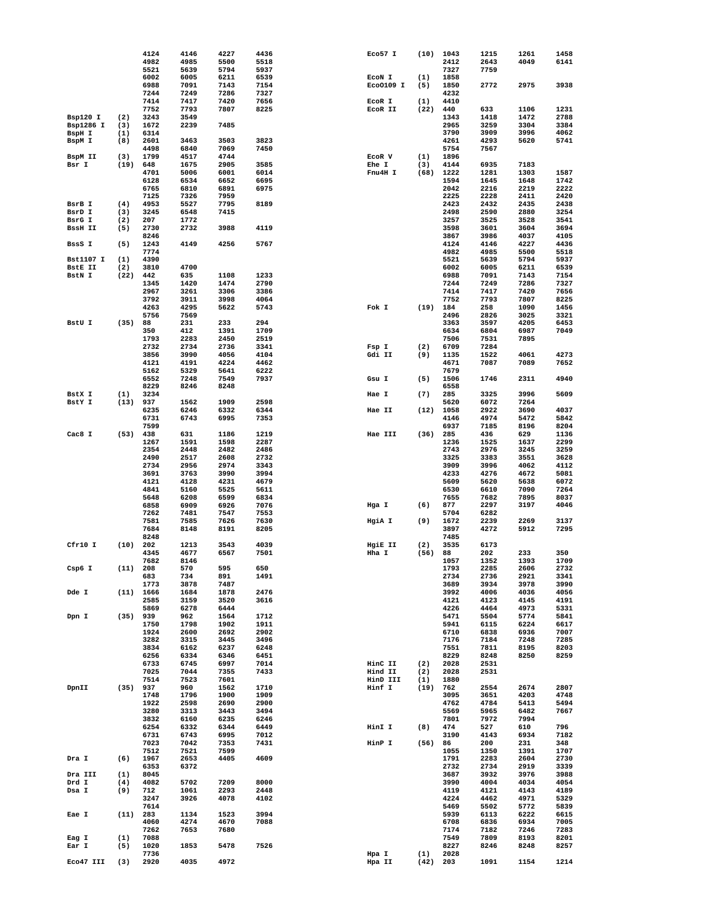|                  |      | 4124 | 4146 | 4227 | 4436 | Eco57 I   | (10) | 1043 | 1215 | 1261 | 1458 |
|------------------|------|------|------|------|------|-----------|------|------|------|------|------|
|                  |      | 4982 | 4985 | 5500 | 5518 |           |      | 2412 | 2643 | 4049 | 6141 |
|                  |      | 5521 | 5639 | 5794 | 5937 |           |      | 7327 | 7759 |      |      |
|                  |      | 6002 | 6005 | 6211 | 6539 | ECON I    | (1)  | 1858 |      |      |      |
|                  |      | 6988 | 7091 | 7143 | 7154 | EC00109 I | (5)  | 1850 | 2772 | 2975 | 3938 |
|                  |      | 7244 | 7249 | 7286 |      |           |      | 4232 |      |      |      |
|                  |      |      |      |      | 7327 |           |      |      |      |      |      |
|                  |      | 7414 | 7417 | 7420 | 7656 | ECOR I    | (1)  | 4410 |      |      |      |
|                  |      | 7752 | 7793 | 7807 | 8225 | ECOR II   | (22) | 440  | 633  | 1106 | 1231 |
| Bsp120 I         | (2)  | 3243 | 3549 |      |      |           |      | 1343 | 1418 | 1472 | 2788 |
| Bsp1286 I        | (3)  | 1672 | 2239 | 7485 |      |           |      | 2965 | 3259 | 3304 | 3384 |
| BspH I           | (1)  | 6314 |      |      |      |           |      | 3790 | 3909 | 3996 | 4062 |
| BspM I           | (8)  | 2601 | 3463 | 3503 | 3823 |           |      | 4261 | 4293 | 5620 | 5741 |
|                  |      | 4498 | 6840 | 7069 | 7450 |           |      | 5754 | 7567 |      |      |
| BspM II          | (3)  | 1799 | 4517 | 4744 |      | ECOR V    | (1)  | 1896 |      |      |      |
| Bsr I            | (19) | 648  | 1675 | 2905 | 3585 | Ehe I     | (3)  | 4144 | 6935 | 7183 |      |
|                  |      |      |      |      |      |           |      |      |      |      |      |
|                  |      | 4701 | 5006 | 6001 | 6014 | Fnu4H I   | (68) | 1222 | 1281 | 1303 | 1587 |
|                  |      | 6128 | 6534 | 6652 | 6695 |           |      | 1594 | 1645 | 1648 | 1742 |
|                  |      | 6765 | 6810 | 6891 | 6975 |           |      | 2042 | 2216 | 2219 | 2222 |
|                  |      | 7125 | 7326 | 7959 |      |           |      | 2225 | 2228 | 2411 | 2420 |
| BsrB I           | (4)  | 4953 | 5527 | 7795 | 8189 |           |      | 2423 | 2432 | 2435 | 2438 |
| BsrD I           | (3)  | 3245 | 6548 | 7415 |      |           |      | 2498 | 2590 | 2880 | 3254 |
| BsrG I           | (2)  | 207  | 1772 |      |      |           |      | 3257 | 3525 | 3528 | 3541 |
| <b>BssH II</b>   | (5)  | 2730 | 2732 | 3988 | 4119 |           |      | 3598 | 3601 | 3604 | 3694 |
|                  |      | 8246 |      |      |      |           |      | 3867 | 3986 | 4037 | 4105 |
|                  |      |      |      |      |      |           |      |      |      |      |      |
| BssS I           | (5)  | 1243 | 4149 | 4256 | 5767 |           |      | 4124 | 4146 | 4227 | 4436 |
|                  |      | 7774 |      |      |      |           |      | 4982 | 4985 | 5500 | 5518 |
| <b>Bst1107 I</b> | (1)  | 4390 |      |      |      |           |      | 5521 | 5639 | 5794 | 5937 |
| <b>BstE II</b>   | (2)  | 3810 | 4700 |      |      |           |      | 6002 | 6005 | 6211 | 6539 |
| BstN I           | (22) | 442  | 635  | 1108 | 1233 |           |      | 6988 | 7091 | 7143 | 7154 |
|                  |      | 1345 | 1420 | 1474 | 2790 |           |      | 7244 | 7249 | 7286 | 7327 |
|                  |      | 2967 | 3261 | 3306 | 3386 |           |      | 7414 | 7417 | 7420 | 7656 |
|                  |      | 3792 | 3911 | 3998 | 4064 |           |      | 7752 | 7793 | 7807 | 8225 |
|                  |      | 4263 |      |      | 5743 | Fok I     | (19) |      | 258  | 1090 | 1456 |
|                  |      |      | 4295 | 5622 |      |           |      | 184  |      |      |      |
|                  |      | 5756 | 7569 |      |      |           |      | 2496 | 2826 | 3025 | 3321 |
| BstU I           | (35) | 88   | 231  | 233  | 294  |           |      | 3363 | 3597 | 4205 | 6453 |
|                  |      | 350  | 412  | 1391 | 1709 |           |      | 6634 | 6804 | 6987 | 7049 |
|                  |      | 1793 | 2283 | 2450 | 2519 |           |      | 7506 | 7531 | 7895 |      |
|                  |      | 2732 | 2734 | 2736 | 3341 | Fsp I     | (2)  | 6709 | 7284 |      |      |
|                  |      | 3856 | 3990 | 4056 | 4104 | Gdi II    | (9)  | 1135 | 1522 | 4061 | 4273 |
|                  |      | 4121 | 4191 | 4224 | 4462 |           |      | 4671 | 7087 | 7089 | 7652 |
|                  |      |      |      |      |      |           |      |      |      |      |      |
|                  |      | 5162 | 5329 | 5641 | 6222 |           |      | 7679 |      |      |      |
|                  |      | 6552 | 7248 | 7549 | 7937 | Gsu I     | (5)  | 1506 | 1746 | 2311 | 4940 |
|                  |      | 8229 | 8246 | 8248 |      |           |      | 6558 |      |      |      |
| BstX I           | (1)  | 3234 |      |      |      | Hae I     | (7)  | 285  | 3325 | 3996 | 5609 |
| BstY I           | (13) | 937  | 1562 | 1909 | 2598 |           |      | 5620 | 6072 | 7264 |      |
|                  |      | 6235 | 6246 | 6332 | 6344 | Hae II    | (12) | 1058 | 2922 | 3690 | 4037 |
|                  |      | 6731 | 6743 | 6995 | 7353 |           |      | 4146 | 4974 | 5472 | 5842 |
|                  |      | 7599 |      |      |      |           |      | 6937 | 7185 | 8196 | 8204 |
|                  |      |      |      |      |      |           |      |      |      |      |      |
| Cac8 I           | (53) | 438  | 631  | 1186 | 1219 | Hae III   | (36) | 285  | 436  | 629  | 1136 |
|                  |      | 1267 | 1591 | 1598 | 2287 |           |      | 1236 | 1525 | 1637 | 2299 |
|                  |      | 2354 | 2448 | 2482 | 2486 |           |      | 2743 | 2976 | 3245 | 3259 |
|                  |      | 2490 | 2517 | 2608 | 2732 |           |      | 3325 | 3383 | 3551 | 3628 |
|                  |      | 2734 | 2956 | 2974 | 3343 |           |      | 3909 | 3996 | 4062 | 4112 |
|                  |      | 3691 | 3763 | 3990 | 3994 |           |      | 4233 | 4276 | 4672 | 5081 |
|                  |      | 4121 | 4128 | 4231 | 4679 |           |      | 5609 | 5620 | 5638 | 6072 |
|                  |      | 4841 | 5160 | 5525 | 5611 |           |      | 6530 | 6610 | 7090 | 7264 |
|                  |      |      |      |      |      |           |      |      |      |      |      |
|                  |      | 5648 | 6208 | 6599 | 6834 |           |      | 7655 | 7682 | 7895 | 8037 |
|                  |      | 6858 | 6909 | 6926 | 7076 | Hga I     | (6)  | 877  | 2297 | 3197 | 4046 |
|                  |      | 7262 | 7481 | 7547 | 7553 |           |      | 5704 | 6282 |      |      |
|                  |      | 7581 | 7585 | 7626 | 7630 | HgiA I    | (9)  | 1672 | 2239 | 2269 | 3137 |
|                  |      | 7684 | 8148 | 8191 | 8205 |           |      | 3897 | 4272 | 5912 | 7295 |
|                  |      | 8248 |      |      |      |           |      | 7485 |      |      |      |
| Cfr10 I          | (10) | 202  | 1213 | 3543 | 4039 | HgiE II   | (2)  | 3535 | 6173 |      |      |
|                  |      | 4345 | 4677 | 6567 | 7501 | Hha I     | (56) | 88   | 202  | 233  | 350  |
|                  |      | 7682 | 8146 |      |      |           |      | 1057 | 1352 | 1393 | 1709 |
|                  | (11) | 208  | 570  | 595  | 650  |           |      | 1793 | 2285 | 2606 | 2732 |
| Csp6 I           |      |      |      |      |      |           |      |      |      |      |      |
|                  |      | 683  | 734  | 891  | 1491 |           |      | 2734 | 2736 | 2921 | 3341 |
|                  |      | 1773 | 3878 | 7487 |      |           |      | 3689 | 3934 | 3978 | 3990 |
| Dde I            | (11) | 1666 | 1684 | 1878 | 2476 |           |      | 3992 | 4006 | 4036 | 4056 |
|                  |      | 2585 | 3159 | 3520 | 3616 |           |      | 4121 | 4123 | 4145 | 4191 |
|                  |      | 5869 | 6278 | 6444 |      |           |      | 4226 | 4464 | 4973 | 5331 |
| Dpn I            | (35) | 939  | 962  | 1564 | 1712 |           |      | 5471 | 5504 | 5774 | 5841 |
|                  |      | 1750 | 1798 | 1902 | 1911 |           |      | 5941 | 6115 | 6224 | 6617 |
|                  |      | 1924 | 2600 | 2692 | 2902 |           |      | 6710 | 6838 | 6936 | 7007 |
|                  |      | 3282 | 3315 | 3445 | 3496 |           |      | 7176 | 7184 | 7248 | 7285 |
|                  |      | 3834 | 6162 | 6237 | 6248 |           |      | 7551 | 7811 | 8195 | 8203 |
|                  |      |      |      |      |      |           |      |      |      |      |      |
|                  |      | 6256 | 6334 | 6346 | 6451 |           |      | 8229 | 8248 | 8250 | 8259 |
|                  |      | 6733 | 6745 | 6997 | 7014 | HinC II   | (2)  | 2028 | 2531 |      |      |
|                  |      | 7025 | 7044 | 7355 | 7433 | Hind II   | (2)  | 2028 | 2531 |      |      |
|                  |      | 7514 | 7523 | 7601 |      | HinD III  | (1)  | 1880 |      |      |      |
| DpnII            | (35) | 937  | 960  | 1562 | 1710 | Hinf I    | (19) | 762  | 2554 | 2674 | 2807 |
|                  |      | 1748 | 1796 | 1900 | 1909 |           |      | 3095 | 3651 | 4203 | 4748 |
|                  |      | 1922 | 2598 | 2690 | 2900 |           |      | 4762 | 4784 | 5413 | 5494 |
|                  |      | 3280 | 3313 | 3443 | 3494 |           |      | 5569 | 5965 | 6482 | 7667 |
|                  |      | 3832 | 6160 | 6235 | 6246 |           |      | 7801 | 7972 | 7994 |      |
|                  |      |      |      |      |      |           |      |      |      |      |      |
|                  |      | 6254 | 6332 | 6344 | 6449 | HinI I    | (8)  | 474  | 527  | 610  | 796  |
|                  |      | 6731 | 6743 | 6995 | 7012 |           |      | 3190 | 4143 | 6934 | 7182 |
|                  |      | 7023 | 7042 | 7353 | 7431 | HinP I    | (56) | 86   | 200  | 231  | 348  |
|                  |      | 7512 | 7521 | 7599 |      |           |      | 1055 | 1350 | 1391 | 1707 |
| Dra I            | (6)  | 1967 | 2653 | 4405 | 4609 |           |      | 1791 | 2283 | 2604 | 2730 |
|                  |      | 6353 | 6372 |      |      |           |      | 2732 | 2734 | 2919 | 3339 |
| Dra III          | (1)  | 8045 |      |      |      |           |      | 3687 | 3932 | 3976 | 3988 |
|                  | (4)  | 4082 | 5702 | 7209 | 8000 |           |      |      | 4004 |      | 4054 |
| Drd I            |      |      |      |      |      |           |      | 3990 |      | 4034 |      |
| Dsa I            | (9)  | 712  | 1061 | 2293 | 2448 |           |      | 4119 | 4121 | 4143 | 4189 |
|                  |      | 3247 | 3926 | 4078 | 4102 |           |      | 4224 | 4462 | 4971 | 5329 |
|                  |      | 7614 |      |      |      |           |      | 5469 | 5502 | 5772 | 5839 |
| Eae I            | (11) | 283  | 1134 | 1523 | 3994 |           |      | 5939 | 6113 | 6222 | 6615 |
|                  |      | 4060 | 4274 | 4670 | 7088 |           |      | 6708 | 6836 | 6934 | 7005 |
|                  |      | 7262 | 7653 | 7680 |      |           |      | 7174 | 7182 | 7246 | 7283 |
| Eag I            | (1)  | 7088 |      |      |      |           |      | 7549 | 7809 | 8193 | 8201 |
| Ear I            | (5)  | 1020 | 1853 | 5478 | 7526 |           |      | 8227 | 8246 | 8248 | 8257 |
|                  |      |      |      |      |      |           |      |      |      |      |      |
|                  |      | 7736 |      |      |      | Hpa I     | (1)  | 2028 |      |      |      |
| Eco47 III        | (3)  | 2920 | 4035 | 4972 |      | Hpa II    | (42) | 203  | 1091 | 1154 | 1214 |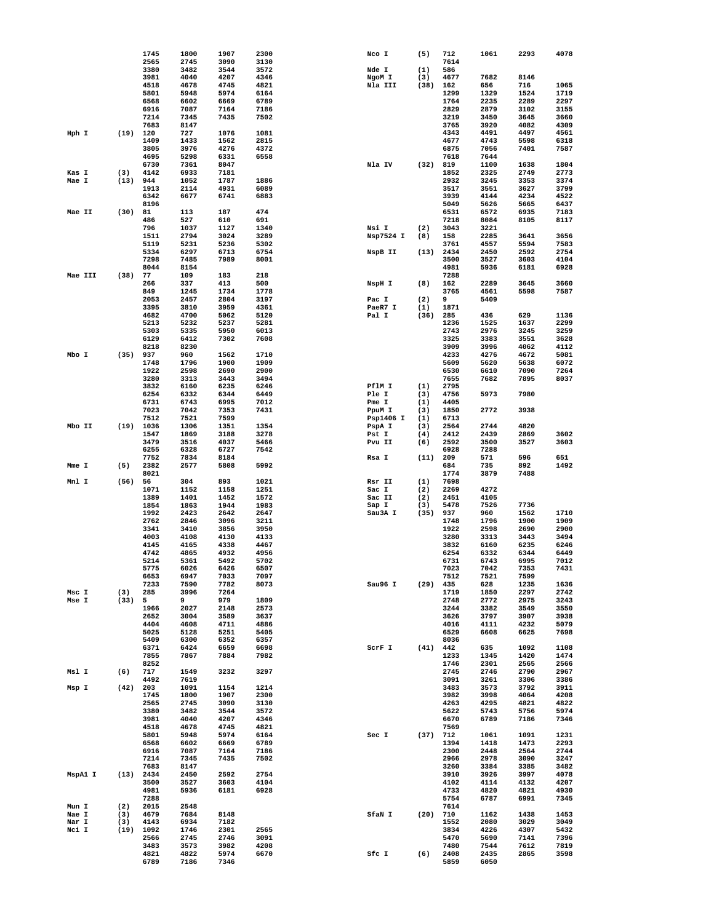|         |      | 1745         | 1800         | 1907         | 2300         | Nco I           | (5)        | 712          | 1061         | 2293         | 4078         |
|---------|------|--------------|--------------|--------------|--------------|-----------------|------------|--------------|--------------|--------------|--------------|
|         |      | 2565         | 2745         | 3090         | 3130         |                 |            | 7614         |              |              |              |
|         |      | 3380         | 3482         | 3544         | 3572         | Nde I           | (1)        | 586          |              |              |              |
|         |      | 3981         | 4040         | 4207         | 4346         | NgoM I          | (3)        | 4677         | 7682         | 8146         |              |
|         |      | 4518<br>5801 | 4678<br>5948 | 4745<br>5974 | 4821<br>6164 | Nla III         | (38)       | 162<br>1299  | 656<br>1329  | 716<br>1524  | 1065<br>1719 |
|         |      | 6568         | 6602         | 6669         | 6789         |                 |            | 1764         | 2235         | 2289         | 2297         |
|         |      | 6916         | 7087         | 7164         | 7186         |                 |            | 2829         | 2879         | 3102         | 3155         |
|         |      | 7214         | 7345         | 7435         | 7502         |                 |            | 3219         | 3450         | 3645         | 3660         |
|         |      | 7683         | 8147         |              |              |                 |            | 3765         | 3920         | 4082         | 4309         |
| Hph I   | (19) | 120          | 727          | 1076         | 1081         |                 |            | 4343         | 4491         | 4497         | 4561         |
|         |      | 1409         | 1433         | 1562         | 2815         |                 |            | 4677         | 4743         | 5598         | 6318         |
|         |      | 3805         | 3976         | 4276         | 4372         |                 |            | 6875         | 7056         | 7401         | 7587         |
|         |      | 4695         | 5298         | 6331         | 6558         |                 |            | 7618         | 7644         |              |              |
|         |      | 6730         | 7361         | 8047         |              | Nla IV          | (32)       | 819          | 1100         | 1638         | 1804         |
| Kas I   | (3)  | 4142         | 6933         | 7181         |              |                 |            | 1852         | 2325         | 2749         | 2773         |
| Mae I   | (13) | 944          | 1052         | 1787         | 1886         |                 |            | 2932         | 3245         | 3353         | 3374         |
|         |      | 1913<br>6342 | 2114<br>6677 | 4931<br>6741 | 6089<br>6883 |                 |            | 3517<br>3939 | 3551<br>4144 | 3627<br>4234 | 3799<br>4522 |
|         |      | 8196         |              |              |              |                 |            | 5049         | 5626         | 5665         | 6437         |
| Mae II  | (30) | 81           | 113          | 187          | 474          |                 |            | 6531         | 6572         | 6935         | 7183         |
|         |      | 486          | 527          | 610          | 691          |                 |            | 7218         | 8084         | 8105         | 8117         |
|         |      | 796          | 1037         | 1127         | 1340         | Nsi I           | (2)        | 3043         | 3221         |              |              |
|         |      | 1511         | 2794         | 3024         | 3289         | Nsp7524 I       | (8)        | 158          | 2285         | 3641         | 3656         |
|         |      | 5119         | 5231         | 5236         | 5302         |                 |            | 3761         | 4557         | 5594         | 7583         |
|         |      | 5334         | 6297         | 6713         | 6754         | NspB II         | (13)       | 2434         | 2450         | 2592         | 2754         |
|         |      | 7298         | 7485         | 7989         | 8001         |                 |            | 3500         | 3527         | 3603         | 4104         |
|         |      | 8044         | 8154         |              |              |                 |            | 4981         | 5936         | 6181         | 6928         |
| Mae III | (38) | 77           | 109          | 183          | 218          |                 |            | 7288         |              |              |              |
|         |      | 266          | 337          | 413          | 500          | NspH I          | (8)        | 162          | 2289         | 3645         | 3660         |
|         |      | 849<br>2053  | 1245<br>2457 | 1734<br>2804 | 1778<br>3197 | Pac I           | (2)        | 3765<br>9    | 4561<br>5409 | 5598         | 7587         |
|         |      | 3395         | 3810         | 3959         | 4361         | PaeR7 I         | (1)        | 1871         |              |              |              |
|         |      | 4682         | 4700         | 5062         | 5120         | Pal I           | (36)       | 285          | 436          | 629          | 1136         |
|         |      | 5213         | 5232         | 5237         | 5281         |                 |            | 1236         | 1525         | 1637         | 2299         |
|         |      | 5303         | 5335         | 5950         | 6013         |                 |            | 2743         | 2976         | 3245         | 3259         |
|         |      | 6129         | 6412         | 7302         | 7608         |                 |            | 3325         | 3383         | 3551         | 3628         |
|         |      | 8218         | 8230         |              |              |                 |            | 3909         | 3996         | 4062         | 4112         |
| Mbo I   | (35) | 937          | 960          | 1562         | 1710         |                 |            | 4233         | 4276         | 4672         | 5081         |
|         |      | 1748         | 1796         | 1900         | 1909         |                 |            | 5609         | 5620         | 5638         | 6072         |
|         |      | 1922         | 2598         | 2690         | 2900         |                 |            | 6530         | 6610         | 7090         | 7264         |
|         |      | 3280         | 3313         | 3443         | 3494         |                 |            | 7655         | 7682         | 7895         | 8037         |
|         |      | 3832         | 6160         | 6235         | 6246         | PflM I          | (1)        | 2795         |              |              |              |
|         |      | 6254         | 6332         | 6344         | 6449         | Ple I           | (3)        | 4756         | 5973         | 7980         |              |
|         |      | 6731         | 6743         | 6995         | 7012         | Pme I           | (1)        | 4405         |              |              |              |
|         |      | 7023         | 7042         | 7353         | 7431         | PpuM I          | (3)        | 1850         | 2772         | 3938         |              |
| Mbo II  | (19) | 7512<br>1036 | 7521<br>1306 | 7599<br>1351 | 1354         | Psp1406 I       | (1)<br>(3) | 6713<br>2564 | 2744         | 4820         |              |
|         |      | 1547         | 1869         | 3188         | 3278         | PspA I<br>Pst I | (4)        | 2412         | 2439         | 2869         | 3602         |
|         |      | 3479         | 3516         | 4037         | 5466         | Pvu II          | (6)        | 2592         | 3500         | 3527         | 3603         |
|         |      | 6255         | 6328         | 6727         | 7542         |                 |            | 6928         | 7288         |              |              |
|         |      | 7752         | 7834         | 8184         |              | Rsa I           | (11)       | 209          | 571          | 596          | 651          |
| Mme I   | (5)  | 2382         | 2577         | 5808         | 5992         |                 |            | 684          | 735          | 892          | 1492         |
|         |      | 8021         |              |              |              |                 |            | 1774         | 3879         | 7488         |              |
| Mnl I   | (56) | 56           | 304          | 893          | 1021         | Rsr II          | (1)        | 7698         |              |              |              |
|         |      | 1071         | 1152         | 1158         | 1251         | Sac I           | (2)        | 2269         | 4272         |              |              |
|         |      | 1389         | 1401         | 1452         | 1572         | Sac II          | (2)        | 2451         | 4105         |              |              |
|         |      | 1854         | 1863         | 1944         | 1983         | Sap I           | (3)        | 5478         | 7526         | 7736         |              |
|         |      | 1992         | 2423         | 2642         | 2647         | Sau3A I         | (35)       | 937          | 960          | 1562         | 1710         |
|         |      | 2762         | 2846         | 3096         | 3211         |                 |            | 1748         | 1796         | 1900         | 1909         |
|         |      | 3341         | 3410         | 3856         | 3950         |                 |            | 1922<br>3280 | 2598         | 2690<br>3443 | 2900<br>3494 |
|         |      |              |              |              |              |                 |            |              |              |              |              |
|         |      | 4003         | 4108         | 4130         | 4133         |                 |            |              | 3313         |              |              |
|         |      | 4145         | 4165         | 4338         | 4467         |                 |            | 3832         | 6160         | 6235         | 6246         |
|         |      | 4742         | 4865         | 4932         | 4956         |                 |            | 6254         | 6332         | 6344         | 6449         |
|         |      | 5214<br>5775 | 5361<br>6026 | 5492<br>6426 | 5702<br>6507 |                 |            | 6731<br>7023 | 6743<br>7042 | 6995<br>7353 | 7012<br>7431 |
|         |      | 6653         | 6947         | 7033         | 7097         |                 |            | 7512         | 7521         | 7599         |              |
|         |      | 7233         | 7590         | 7782         | 8073         | Sau96 I         | (29)       | 435          | 628          | 1235         | 1636         |
| Msc I   | (3)  | 285          | 3996         | 7264         |              |                 |            | 1719         | 1850         | 2297         | 2742         |
| Mse I   | (33) | 5            | 9            | 979          | 1809         |                 |            | 2748         | 2772         | 2975         | 3243         |
|         |      | 1966         | 2027         | 2148         | 2573         |                 |            | 3244         | 3382         | 3549         | 3550         |
|         |      | 2652         | 3004         | 3589         | 3637         |                 |            | 3626         | 3797         | 3907         | 3938         |
|         |      | 4404         | 4608         | 4711         | 4886         |                 |            | 4016         | 4111         | 4232         | 5079         |
|         |      | 5025         | 5128         | 5251         | 5405         |                 |            | 6529         | 6608         | 6625         | 7698         |
|         |      | 5409         | 6300         | 6352         | 6357         |                 |            | 8036         |              |              |              |
|         |      | 6371         | 6424         | 6659         | 6698         | SCrF I          | (41)       | 442          | 635          | 1092         | 1108         |
|         |      | 7855<br>8252 | 7867         | 7884         | 7982         |                 |            | 1233<br>1746 | 1345<br>2301 | 1420<br>2565 | 1474<br>2566 |
| Msl I   | (6)  | 717          | 1549         | 3232         | 3297         |                 |            | 2745         | 2746         | 2790         | 2967         |
|         |      | 4492         | 7619         |              |              |                 |            | 3091         | 3261         | 3306         | 3386         |
| Msp I   | (42) | 203          | 1091         | 1154         | 1214         |                 |            | 3483         | 3573         | 3792         | 3911         |
|         |      | 1745         | 1800         | 1907         | 2300         |                 |            | 3982         | 3998         | 4064         | 4208         |
|         |      | 2565         | 2745         | 3090         | 3130         |                 |            | 4263         | 4295         | 4821         | 4822         |
|         |      | 3380         | 3482         | 3544         | 3572         |                 |            | 5622         | 5743         | 5756         | 5974         |
|         |      | 3981         | 4040         | 4207         | 4346         |                 |            | 6670         | 6789         | 7186         | 7346         |
|         |      | 4518         | 4678         | 4745         | 4821         |                 |            | 7569         |              |              |              |
|         |      | 5801         | 5948         | 5974         | 6164         | Sec I           | (37)       | 712          | 1061         | 1091         | 1231         |
|         |      | 6568         | 6602         | 6669         | 6789         |                 |            | 1394         | 1418         | 1473         | 2293         |
|         |      | 6916<br>7214 | 7087<br>7345 | 7164<br>7435 | 7186<br>7502 |                 |            | 2300<br>2966 | 2448<br>2978 | 2564<br>3090 | 2744<br>3247 |
|         |      | 7683         | 8147         |              |              |                 |            | 3260         | 3384         | 3385         | 3482         |
| MspA1 I | (13) | 2434         | 2450         | 2592         | 2754         |                 |            | 3910         | 3926         | 3997         | 4078         |
|         |      | 3500         | 3527         | 3603         | 4104         |                 |            | 4102         | 4114         | 4132         | 4207         |
|         |      | 4981         | 5936         | 6181         | 6928         |                 |            | 4733         | 4820         | 4821         | 4930         |
|         |      | 7288         |              |              |              |                 |            | 5754         | 6787         | 6991         | 7345         |
| Mun I   | (2)  | 2015         | 2548         |              |              |                 |            | 7614         |              |              |              |
| Nae I   | (3)  | 4679         | 7684         | 8148         |              | SfaN I          | (20)       | 710          | 1162         | 1438         | 1453         |
| Nar I   | (3)  | 4143         | 6934         | 7182         |              |                 |            | 1552         | 2080         | 3029         | 3049         |
| Nci I   | (19) | 1092         | 1746         | 2301         | 2565         |                 |            | 3834         | 4226         | 4307         | 5432         |
|         |      | 2566         | 2745         | 2746         | 3091         |                 |            | 5470         | 5690         | 7141         | 7396         |
|         |      | 3483         | 3573         | 3982         | 4208         |                 |            | 7480         | 7544         | 7612         | 7819         |
|         |      | 4821<br>6789 | 4822<br>7186 | 5974<br>7346 | 6670         | Sfc I           | (6)        | 2408<br>5859 | 2435<br>6050 | 2865         | 3598         |